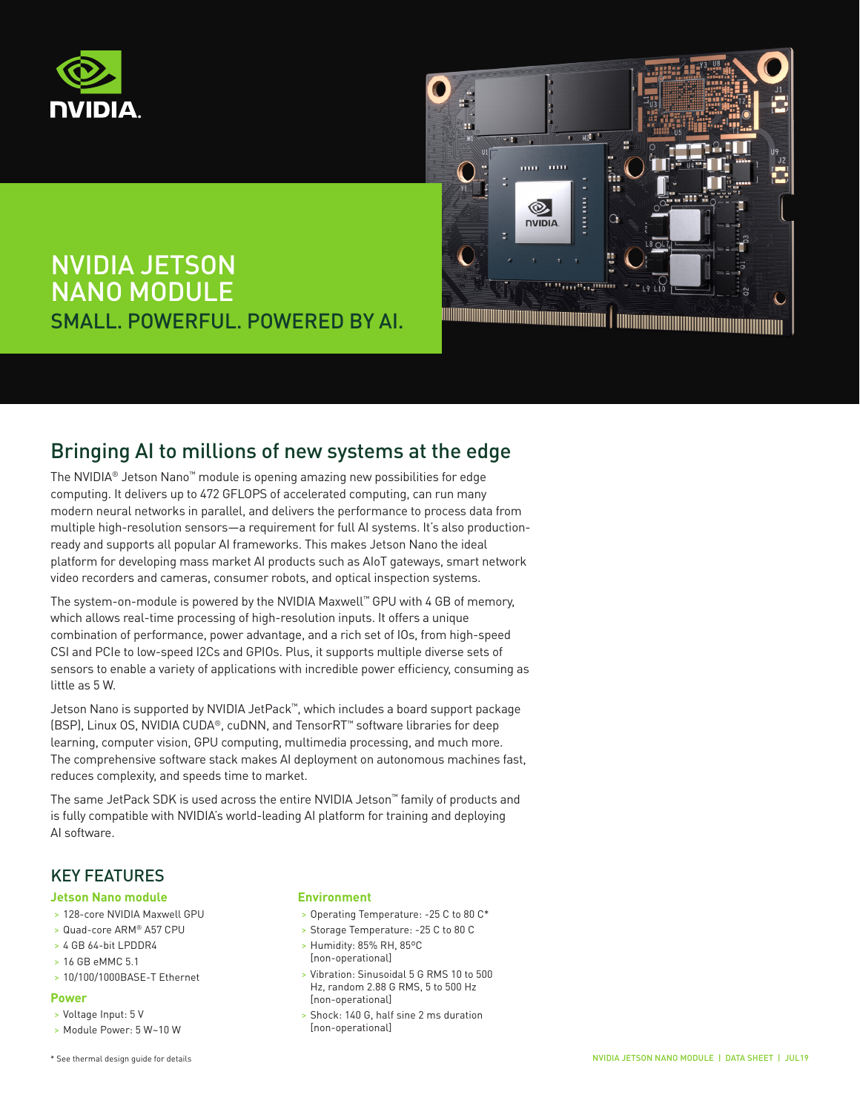





# Bringing AI to millions of new systems at the edge

The NVIDIA® Jetson Nano™ module is opening amazing new possibilities for edge computing. It delivers up to 472 GFLOPS of accelerated computing, can run many modern neural networks in parallel, and delivers the performance to process data from multiple high-resolution sensors—a requirement for full AI systems. It's also productionready and supports all popular AI frameworks. This makes Jetson Nano the ideal platform for developing mass market AI products such as AIoT gateways, smart network video recorders and cameras, consumer robots, and optical inspection systems.

The system-on-module is powered by the NVIDIA Maxwell™ GPU with 4 GB of memory, which allows real-time processing of high-resolution inputs. It offers a unique combination of performance, power advantage, and a rich set of IOs, from high-speed CSI and PCIe to low-speed I2Cs and GPIOs. Plus, it supports multiple diverse sets of sensors to enable a variety of applications with incredible power efficiency, consuming as little as 5 W.

Jetson Nano is supported by NVIDIA JetPack™, which includes a board support package (BSP), Linux OS, NVIDIA CUDA®, cuDNN, and TensorRT™ software libraries for deep learning, computer vision, GPU computing, multimedia processing, and much more. The comprehensive software stack makes AI deployment on autonomous machines fast, reduces complexity, and speeds time to market.

The same JetPack SDK is used across the entire NVIDIA Jetson™ family of products and is fully compatible with NVIDIA's world-leading AI platform for training and deploying AI software.

## KEY FEATURES

### **Jetson Nano module**

- > 128-core NVIDIA Maxwell GPU
- > Quad-core ARM® A57 CPU
- > 4 GB 64-bit LPDDR4
- > 16 GB eMMC 5.1
- > 10/100/1000BASE-T Ethernet

#### **Power**

- > Voltage Input: 5 V
- > Module Power: 5 W~10 W

### **Environment**

- > Operating Temperature: -25 C to 80 C\*
- > Storage Temperature: -25 C to 80 C
- > Humidity: 85% RH, 85ºC [non-operational]
- > Vibration: Sinusoidal 5 G RMS 10 to 500 Hz, random 2.88 G RMS, 5 to 500 Hz [non-operational]
- > Shock: 140 G, half sine 2 ms duration [non-operational]